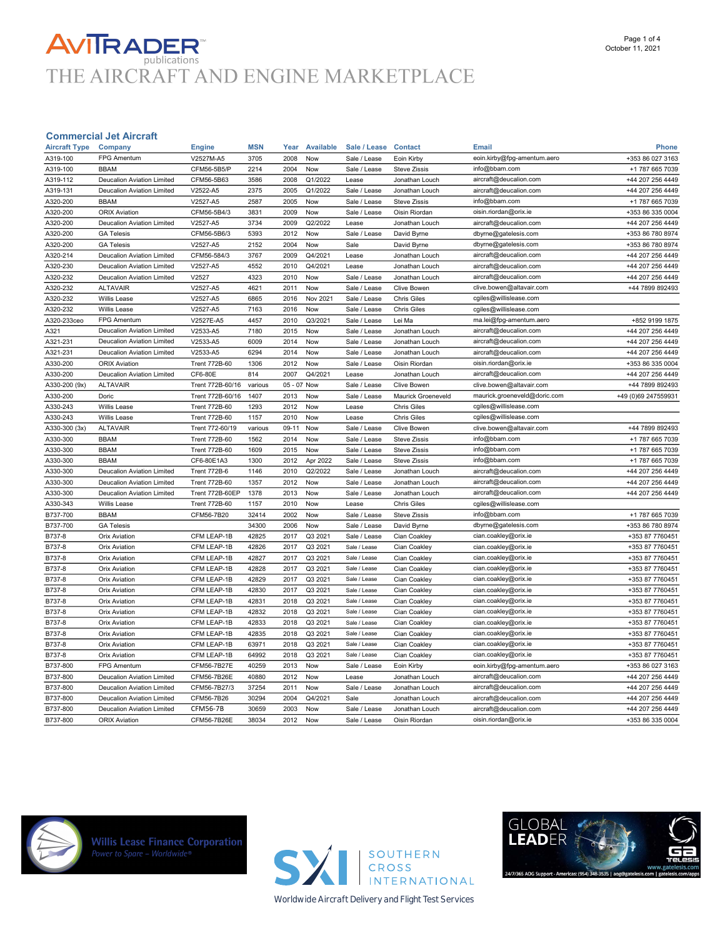# **AVITRADER**<br>THE AIRCRAFT AND ENGINE MARKETPLACE

| <b>Aircraft Type</b> | Company                                           | <b>Engine</b>                      | <b>MSN</b>    | Year        | <b>Available</b>    | Sale / Lease                 | <b>Contact</b>                   | Email                        | <b>Phone</b>        |
|----------------------|---------------------------------------------------|------------------------------------|---------------|-------------|---------------------|------------------------------|----------------------------------|------------------------------|---------------------|
| A319-100             | FPG Amentum                                       | V2527M-A5                          | 3705          | 2008        | Now                 | Sale / Lease                 | Eoin Kirby                       | eoin.kirby@fpg-amentum.aero  | +353 86 027 3163    |
| A319-100             | <b>BBAM</b>                                       | CFM56-5B5/P                        | 2214          | 2004        | Now                 | Sale / Lease                 | <b>Steve Zissis</b>              | info@bbam.com                | +1 787 665 7039     |
| A319-112             | Deucalion Aviation Limited                        | CFM56-5B63                         | 3586          | 2008        | Q1/2022             | Lease                        | Jonathan Louch                   | aircraft@deucalion.com       | +44 207 256 4449    |
| A319-131             | Deucalion Aviation Limited                        | V2522-A5                           | 2375          | 2005        | Q1/2022             | Sale / Lease                 | Jonathan Louch                   | aircraft@deucalion.com       | +44 207 256 4449    |
| A320-200             | <b>BBAM</b>                                       | V2527-A5                           | 2587          | 2005        | Now                 | Sale / Lease                 | <b>Steve Zissis</b>              | info@bbam.com                | +1 787 665 7039     |
| A320-200             | <b>ORIX Aviation</b>                              | CFM56-5B4/3                        | 3831          | 2009        | Now                 | Sale / Lease                 | Oisin Riordan                    | oisin.riordan@orix.ie        | +353 86 335 0004    |
| A320-200             | Deucalion Aviation Limited                        | V2527-A5                           | 3734          | 2009        | Q2/2022             | Lease                        | Jonathan Louch                   | aircraft@deucalion.com       | +44 207 256 4449    |
| A320-200             | <b>GA Telesis</b>                                 | CFM56-5B6/3                        | 5393          | 2012        | Now                 | Sale / Lease                 | David Byrne                      | dbyrne@gatelesis.com         | +353 86 780 8974    |
| A320-200             | <b>GA Telesis</b>                                 | V2527-A5                           | 2152          | 2004        | Now                 | Sale                         | David Byrne                      | dbyrne@gatelesis.com         | +353 86 780 8974    |
| A320-214             | <b>Deucalion Aviation Limited</b>                 | CFM56-584/3                        | 3767          | 2009        | Q4/2021             | Lease                        | Jonathan Louch                   | aircraft@deucalion.com       | +44 207 256 4449    |
| A320-230             | Deucalion Aviation Limited                        | V2527-A5                           | 4552          | 2010        | Q4/2021             | Lease                        | Jonathan Louch                   | aircraft@deucalion.com       | +44 207 256 4449    |
| A320-232             | Deucalion Aviation Limited                        | V2527                              | 4323          | 2010        | Now                 | Sale / Lease                 | Jonathan Louch                   | aircraft@deucalion.com       | +44 207 256 4449    |
| A320-232             | <b>ALTAVAIR</b>                                   | V2527-A5                           | 4621          | 2011        | Now                 | Sale / Lease                 | Clive Bowen                      | clive.bowen@altavair.com     | +44 7899 892493     |
| A320-232             | <b>Willis Lease</b>                               | V2527-A5                           | 6865          | 2016        | Nov 2021            | Sale / Lease                 | <b>Chris Giles</b>               | cgiles@willislease.com       |                     |
| A320-232             | <b>Willis Lease</b>                               | V2527-A5                           | 7163          | 2016        | Now                 | Sale / Lease                 | <b>Chris Giles</b>               | cgiles@willislease.com       |                     |
| A320-233ceo          | FPG Amentum                                       | V2527E-A5                          | 4457          | 2010        | Q3/2021             | Sale / Lease                 | Lei Ma                           | ma.lei@fpg-amentum.aero      | +852 9199 1875      |
| A321                 | Deucalion Aviation Limited                        | V2533-A5                           | 7180          | 2015        | Now                 | Sale / Lease                 | Jonathan Louch                   | aircraft@deucalion.com       | +44 207 256 4449    |
| A321-231             | Deucalion Aviation Limited                        | V2533-A5                           | 6009          | 2014        | Now                 | Sale / Lease                 | Jonathan Louch                   | aircraft@deucalion.com       | +44 207 256 4449    |
| A321-231             | Deucalion Aviation Limited                        | V2533-A5                           | 6294          | 2014        | Now                 | Sale / Lease                 | Jonathan Louch                   | aircraft@deucalion.com       | +44 207 256 4449    |
| A330-200             | <b>ORIX Aviation</b>                              | <b>Trent 772B-60</b>               | 1306          | 2012        | Now                 | Sale / Lease                 | Oisin Riordan                    | oisin.riordan@orix.ie        | +353 86 335 0004    |
| A330-200             | Deucalion Aviation Limited                        | CF6-80E                            | 814           | 2007        | Q4/2021             | Lease                        | Jonathan Louch                   | aircraft@deucalion.com       | +44 207 256 4449    |
| A330-200 (9x)        | <b>ALTAVAIR</b>                                   | Trent 772B-60/16                   | various       | 05 - 07 Now |                     | Sale / Lease                 | Clive Bowen                      | clive.bowen@altavair.com     | +44 7899 892493     |
| A330-200             | Doric                                             | Trent 772B-60/16                   | 1407          | 2013        | Now                 | Sale / Lease                 | Maurick Groeneveld               | maurick.groeneveld@doric.com | +49 (0)69 247559931 |
| A330-243             | Willis Lease                                      | <b>Trent 772B-60</b>               | 1293          | 2012        | Now                 | Lease                        | <b>Chris Giles</b>               | cgiles@willislease.com       |                     |
| A330-243             | Willis Lease                                      | <b>Trent 772B-60</b>               | 1157          | 2010        | Now                 | Lease                        | <b>Chris Giles</b>               | cgiles@willislease.com       |                     |
| A330-300 (3x)        | <b>ALTAVAIR</b>                                   | Trent 772-60/19                    | various       | 09-11       | Now                 | Sale / Lease                 | Clive Bowen                      | clive.bowen@altavair.com     | +44 7899 892493     |
| A330-300             | <b>BBAM</b>                                       | <b>Trent 772B-60</b>               | 1562          | 2014        | Now                 | Sale / Lease                 | <b>Steve Zissis</b>              | info@bbam.com                | +1 787 665 7039     |
| A330-300             | <b>BBAM</b>                                       | <b>Trent 772B-60</b>               | 1609          | 2015        | Now                 |                              | <b>Steve Zissis</b>              | info@bbam.com                | +1 787 665 7039     |
|                      | <b>BBAM</b>                                       | CF6-80E1A3                         | 1300          | 2012        |                     | Sale / Lease<br>Sale / Lease | <b>Steve Zissis</b>              | info@bbam.com                | +1 787 665 7039     |
| A330-300<br>A330-300 | Deucalion Aviation Limited                        | <b>Trent 772B-6</b>                | 1146          | 2010        | Apr 2022<br>Q2/2022 | Sale / Lease                 |                                  | aircraft@deucalion.com       | +44 207 256 4449    |
|                      | Deucalion Aviation Limited                        | <b>Trent 772B-60</b>               | 1357          | 2012        | Now                 | Sale / Lease                 | Jonathan Louch<br>Jonathan Louch | aircraft@deucalion.com       | +44 207 256 4449    |
| A330-300             |                                                   |                                    | 1378          | 2013        | Now                 |                              |                                  |                              |                     |
| A330-300             | Deucalion Aviation Limited<br><b>Willis Lease</b> | Trent 772B-60EP                    |               | 2010        | Now                 | Sale / Lease<br>Lease        | Jonathan Louch                   | aircraft@deucalion.com       | +44 207 256 4449    |
| A330-343<br>B737-700 | <b>BBAM</b>                                       | <b>Trent 772B-60</b><br>CFM56-7B20 | 1157<br>32414 | 2002        | Now                 |                              | <b>Chris Giles</b>               | cgiles@willislease.com       |                     |
|                      |                                                   |                                    |               |             |                     | Sale / Lease                 | <b>Steve Zissis</b>              | info@bbam.com                | +1 787 665 7039     |
| B737-700             | <b>GA Telesis</b>                                 |                                    | 34300         | 2006        | Now                 | Sale / Lease                 | David Byrne                      | dbyrne@gatelesis.com         | +353 86 780 8974    |
| B737-8               | <b>Orix Aviation</b>                              | CFM LEAP-1B                        | 42825         | 2017        | Q3 2021             | Sale / Lease                 | Cian Coakley                     | cian.coakley@orix.ie         | +353 87 7760451     |
| B737-8               | <b>Orix Aviation</b>                              | CFM LEAP-1B                        | 42826         | 2017        | Q3 2021             | Sale / Lease                 | Cian Coakley                     | cian.coakley@orix.ie         | +353 87 7760451     |
| B737-8               | <b>Orix Aviation</b>                              | CFM LEAP-1B                        | 42827         | 2017        | Q3 2021             | Sale / Lease                 | Cian Coakley                     | cian.coakley@orix.ie         | +353 87 7760451     |
| B737-8               | <b>Orix Aviation</b>                              | CFM LEAP-1B                        | 42828         | 2017        | Q3 2021             | Sale / Lease                 | Cian Coakley                     | cian.coakley@orix.ie         | +353 87 7760451     |
| B737-8               | <b>Orix Aviation</b>                              | CFM LEAP-1B                        | 42829         | 2017        | Q3 2021             | Sale / Lease                 | Cian Coakley                     | cian.coakley@orix.ie         | +353 87 7760451     |
| B737-8               | Orix Aviation                                     | CFM LEAP-1B                        | 42830         | 2017        | Q3 2021             | Sale / Lease                 | Cian Coakley                     | cian.coakley@orix.ie         | +353 87 7760451     |
| B737-8               | <b>Orix Aviation</b>                              | CFM LEAP-1B                        | 42831         | 2018        | Q3 2021             | Sale / Lease                 | Cian Coakley                     | cian.coakley@orix.ie         | +353 87 7760451     |
| B737-8               | <b>Orix Aviation</b>                              | CFM LEAP-1B                        | 42832         | 2018        | Q3 2021             | Sale / Lease                 | Cian Coakley                     | cian.coakley@orix.ie         | +353 87 7760451     |
| B737-8               | <b>Orix Aviation</b>                              | CFM LEAP-1B                        | 42833         | 2018        | Q3 2021             | Sale / Lease                 | Cian Coakley                     | cian.coakley@orix.ie         | +353 87 7760451     |
| B737-8               | <b>Orix Aviation</b>                              | CFM LEAP-1B                        | 42835         | 2018        | Q3 2021             | Sale / Lease                 | Cian Coakley                     | cian.coakley@orix.ie         | +353 87 7760451     |
| B737-8               | <b>Orix Aviation</b>                              | CFM LEAP-1B                        | 63971         | 2018        | Q3 2021             | Sale / Lease                 | Cian Coakley                     | cian.coakley@orix.ie         | +353 87 7760451     |
| B737-8               | <b>Orix Aviation</b>                              | CFM LEAP-1B                        | 64992         | 2018        | Q3 2021             | Sale / Lease                 | Cian Coakley                     | cian.coakley@orix.ie         | +353 87 7760451     |
| B737-800             | FPG Amentum                                       | CFM56-7B27E                        | 40259         | 2013        | Now                 | Sale / Lease                 | Eoin Kirby                       | eoin.kirby@fpg-amentum.aero  | +353 86 027 3163    |
| B737-800             | Deucalion Aviation Limited                        | CFM56-7B26E                        | 40880         | 2012        | Now                 | Lease                        | Jonathan Louch                   | aircraft@deucalion.com       | +44 207 256 4449    |
| B737-800             | Deucalion Aviation Limited                        | CFM56-7B27/3                       | 37254         | 2011        | Now                 | Sale / Lease                 | Jonathan Louch                   | aircraft@deucalion.com       | +44 207 256 4449    |
| B737-800             | Deucalion Aviation Limited                        | CFM56-7B26                         | 30294         | 2004        | Q4/2021             | Sale                         | Jonathan Louch                   | aircraft@deucalion.com       | +44 207 256 4449    |
| B737-800             | Deucalion Aviation Limited                        | <b>CFM56-7B</b>                    | 30659         | 2003        | Now                 | Sale / Lease                 | Jonathan Louch                   | aircraft@deucalion.com       | +44 207 256 4449    |
| B737-800             | <b>ORIX Aviation</b>                              | CFM56-7B26E                        | 38034         | 2012        | Now                 | Sale / Lease                 | Oisin Riordan                    | oisin.riordan@orix.ie        | +353 86 335 0004    |
|                      |                                                   |                                    |               |             |                     |                              |                                  |                              |                     |



**Willis Lease Finance Corporation**<br>Power to Spare - Worldwide®



**GLOBAL**<br>LEADER

**Worldwide Aircraft Delivery and Flight Test Services**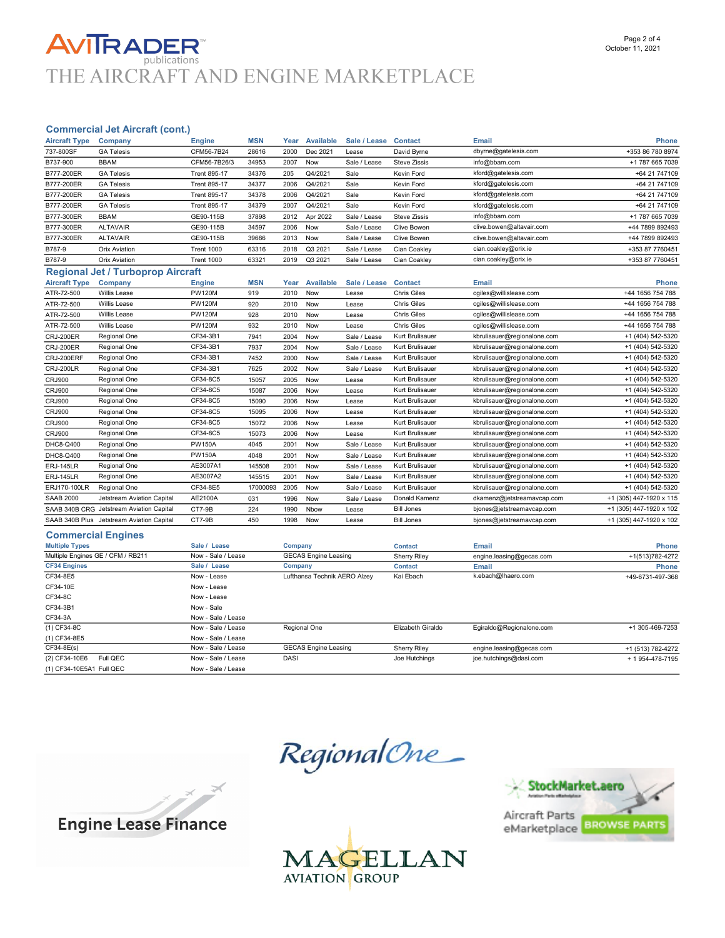### **AVITRADER** publications THE AIRCRAFT AND ENGINE MARKETPLACE

### Commercial Jet Aircraft (cont.)

| <b>Aircraft Type</b>  | Company                                   | <b>Engine</b>       | <b>MSN</b> | Year    | <b>Available</b>            | Sale / Lease | <b>Contact</b>      | Email                       | <b>Phone</b>            |
|-----------------------|-------------------------------------------|---------------------|------------|---------|-----------------------------|--------------|---------------------|-----------------------------|-------------------------|
| 737-800SF             | <b>GA Telesis</b>                         | CFM56-7B24          | 28616      | 2000    | Dec 2021                    | Lease        | David Byrne         | dbyrne@gatelesis.com        | +353 86 780 8974        |
| B737-900              | <b>BBAM</b>                               | CFM56-7B26/3        | 34953      | 2007    | Now                         | Sale / Lease | <b>Steve Zissis</b> | info@bbam.com               | +1 787 665 7039         |
| B777-200ER            | <b>GA Telesis</b>                         | <b>Trent 895-17</b> | 34376      | 205     | Q4/2021                     | Sale         | Kevin Ford          | kford@gatelesis.com         | +64 21 747109           |
| B777-200ER            | <b>GA Telesis</b>                         | <b>Trent 895-17</b> | 34377      | 2006    | Q4/2021                     | Sale         | Kevin Ford          | kford@gatelesis.com         | +64 21 747109           |
| B777-200ER            | <b>GA Telesis</b>                         | <b>Trent 895-17</b> | 34378      | 2006    | Q4/2021                     | Sale         | Kevin Ford          | kford@gatelesis.com         | +64 21 747109           |
| B777-200ER            | <b>GA Telesis</b>                         | <b>Trent 895-17</b> | 34379      | 2007    | Q4/2021                     | Sale         | Kevin Ford          | kford@gatelesis.com         | +64 21 747109           |
| B777-300ER            | <b>BBAM</b>                               | GE90-115B           | 37898      | 2012    | Apr 2022                    | Sale / Lease | <b>Steve Zissis</b> | info@bbam.com               | +1 787 665 7039         |
| B777-300ER            | <b>ALTAVAIR</b>                           | GE90-115B           | 34597      | 2006    | Now                         | Sale / Lease | Clive Bowen         | clive.bowen@altavair.com    | +44 7899 892493         |
| B777-300ER            | <b>ALTAVAIR</b>                           | GE90-115B           | 39686      | 2013    | Now                         | Sale / Lease | <b>Clive Bowen</b>  | clive.bowen@altavair.com    | +44 7899 892493         |
| B787-9                | <b>Orix Aviation</b>                      | Trent 1000          | 63316      | 2018    | Q3 2021                     | Sale / Lease | Cian Coakley        | cian.coakley@orix.ie        | +353 87 7760451         |
| B787-9                | <b>Orix Aviation</b>                      | Trent 1000          | 63321      | 2019    | Q3 2021                     | Sale / Lease | Cian Coakley        | cian.coakley@orix.ie        | +353 87 7760451         |
|                       | <b>Regional Jet / Turboprop Aircraft</b>  |                     |            |         |                             |              |                     |                             |                         |
| <b>Aircraft Type</b>  | Company                                   | <b>Engine</b>       | <b>MSN</b> | Year    | Available                   | Sale / Lease | <b>Contact</b>      | <b>Email</b>                | <b>Phone</b>            |
| ATR-72-500            | <b>Willis Lease</b>                       | <b>PW120M</b>       | 919        | 2010    | Now                         | Lease        | <b>Chris Giles</b>  | cgiles@willislease.com      | +44 1656 754 788        |
| ATR-72-500            | Willis Lease                              | <b>PW120M</b>       | 920        | 2010    | Now                         | Lease        | <b>Chris Giles</b>  | cgiles@willislease.com      | +44 1656 754 788        |
| ATR-72-500            | Willis Lease                              | <b>PW120M</b>       | 928        | 2010    | Now                         | Lease        | <b>Chris Giles</b>  | cgiles@willislease.com      | +44 1656 754 788        |
| ATR-72-500            | Willis Lease                              | <b>PW120M</b>       | 932        | 2010    | Now                         | Lease        | <b>Chris Giles</b>  | cgiles@willislease.com      | +44 1656 754 788        |
| <b>CRJ-200ER</b>      | Regional One                              | CF34-3B1            | 7941       | 2004    | Now                         | Sale / Lease | Kurt Brulisauer     | kbrulisauer@regionalone.com | +1 (404) 542-5320       |
| <b>CRJ-200ER</b>      | Regional One                              | CF34-3B1            | 7937       | 2004    | Now                         | Sale / Lease | Kurt Brulisauer     | kbrulisauer@regionalone.com | +1 (404) 542-5320       |
| CRJ-200ERF            | Regional One                              | CF34-3B1            | 7452       | 2000    | Now                         | Sale / Lease | Kurt Brulisauer     | kbrulisauer@regionalone.com | +1 (404) 542-5320       |
| CRJ-200LR             | Regional One                              | CF34-3B1            | 7625       | 2002    | Now                         | Sale / Lease | Kurt Brulisauer     | kbrulisauer@regionalone.com | +1 (404) 542-5320       |
| <b>CRJ900</b>         | Regional One                              | CF34-8C5            | 15057      | 2005    | Now                         | Lease        | Kurt Brulisauer     | kbrulisauer@regionalone.com | +1 (404) 542-5320       |
| CRJ900                | Regional One                              | CF34-8C5            | 15087      | 2006    | Now                         | Lease        | Kurt Brulisauer     | kbrulisauer@regionalone.com | +1 (404) 542-5320       |
| <b>CRJ900</b>         | Regional One                              | CF34-8C5            | 15090      | 2006    | Now                         | Lease        | Kurt Brulisauer     | kbrulisauer@regionalone.com | +1 (404) 542-5320       |
| <b>CRJ900</b>         | Regional One                              | CF34-8C5            | 15095      | 2006    | Now                         | Lease        | Kurt Brulisauer     | kbrulisauer@regionalone.com | +1 (404) 542-5320       |
| <b>CRJ900</b>         | Regional One                              | CF34-8C5            | 15072      | 2006    | Now                         | Lease        | Kurt Brulisauer     | kbrulisauer@regionalone.com | +1 (404) 542-5320       |
| <b>CRJ900</b>         | Regional One                              | CF34-8C5            | 15073      | 2006    | Now                         | Lease        | Kurt Brulisauer     | kbrulisauer@regionalone.com | +1 (404) 542-5320       |
| DHC8-Q400             | Regional One                              | <b>PW150A</b>       | 4045       | 2001    | Now                         | Sale / Lease | Kurt Brulisauer     | kbrulisauer@regionalone.com | +1 (404) 542-5320       |
| DHC8-Q400             | Regional One                              | <b>PW150A</b>       | 4048       | 2001    | Now                         | Sale / Lease | Kurt Brulisauer     | kbrulisauer@regionalone.com | +1 (404) 542-5320       |
| <b>ERJ-145LR</b>      | Regional One                              | AE3007A1            | 145508     | 2001    | Now                         | Sale / Lease | Kurt Brulisauer     | kbrulisauer@regionalone.com | +1 (404) 542-5320       |
| <b>ERJ-145LR</b>      | Regional One                              | AE3007A2            | 145515     | 2001    | Now                         | Sale / Lease | Kurt Brulisauer     | kbrulisauer@regionalone.com | +1 (404) 542-5320       |
| ERJ170-100LR          | Regional One                              | CF34-8E5            | 17000093   | 2005    | Now                         | Sale / Lease | Kurt Brulisauer     | kbrulisauer@regionalone.com | +1 (404) 542-5320       |
| <b>SAAB 2000</b>      | Jetstream Aviation Capital                | AE2100A             | 031        | 1996    | Now                         | Sale / Lease | Donald Kamenz       | dkamenz@jetstreamavcap.com  | +1 (305) 447-1920 x 115 |
|                       | SAAB 340B CRG Jetstream Aviation Capital  | CT7-9B              | 224        | 1990    | Nbow                        | Lease        | <b>Bill Jones</b>   | bjones@jetstreamavcap.com   | +1 (305) 447-1920 x 102 |
|                       | SAAB 340B Plus Jetstream Aviation Capital | CT7-9B              | 450        | 1998    | Now                         | Lease        | <b>Bill Jones</b>   | bjones@jetstreamavcap.com   | +1 (305) 447-1920 x 102 |
|                       | <b>Commercial Engines</b>                 |                     |            |         |                             |              |                     |                             |                         |
| <b>Multiple Types</b> |                                           | Sale / Lease        |            | Company |                             |              | <b>Contact</b>      | <b>Email</b>                | <b>Phone</b>            |
|                       | Multiple Engines GE / CFM / RB211         | Now - Sale / Lease  |            |         | <b>GECAS Engine Leasing</b> |              | <b>Sherry Riley</b> | engine.leasing@gecas.com    | +1(513)782-4272         |
| <b>CF34 Engines</b>   |                                           | Sale / Lease        |            | Company |                             |              | <b>Contact</b>      | <b>Email</b>                | <b>Phone</b>            |

| Multiple Eligines GE / CFM / RDZ I I | <b>NOW - Sale / Lease</b> | OECAS Engine Leasing         |                     | engine.leasing@gecas.com | +1(513)/82-42/2   |
|--------------------------------------|---------------------------|------------------------------|---------------------|--------------------------|-------------------|
| <b>CF34 Engines</b>                  | Sale / Lease              | Company                      | <b>Contact</b>      | Email                    | <b>Phone</b>      |
| CF34-8E5                             | Now - Lease               | Lufthansa Technik AERO Alzev | Kai Ebach           | k.ebach@lhaero.com       | +49-6731-497-368  |
| CF34-10E                             | Now - Lease               |                              |                     |                          |                   |
| CF34-8C                              | Now - Lease               |                              |                     |                          |                   |
| CF34-3B1                             | Now - Sale                |                              |                     |                          |                   |
| CF34-3A                              | Now - Sale / Lease        |                              |                     |                          |                   |
| (1) CF34-8C                          | Now - Sale / Lease        | Regional One                 | Elizabeth Giraldo   | Egiraldo@Regionalone.com | +1 305-469-7253   |
| (1) CF34-8E5                         | Now - Sale / Lease        |                              |                     |                          |                   |
| CF34-8E(s)                           | Now - Sale / Lease        | <b>GECAS Engine Leasing</b>  | <b>Sherry Riley</b> | engine.leasing@gecas.com | +1 (513) 782-4272 |
| (2) CF34-10E6<br>Full QEC            | Now - Sale / Lease        | DASI                         | Joe Hutchings       | joe.hutchings@dasi.com   | + 1 954-478-7195  |
| (1) CF34-10E5A1 Full QEC             | Now - Sale / Lease        |                              |                     |                          |                   |

RegionalOne\_





 $\times$   $\times$ 

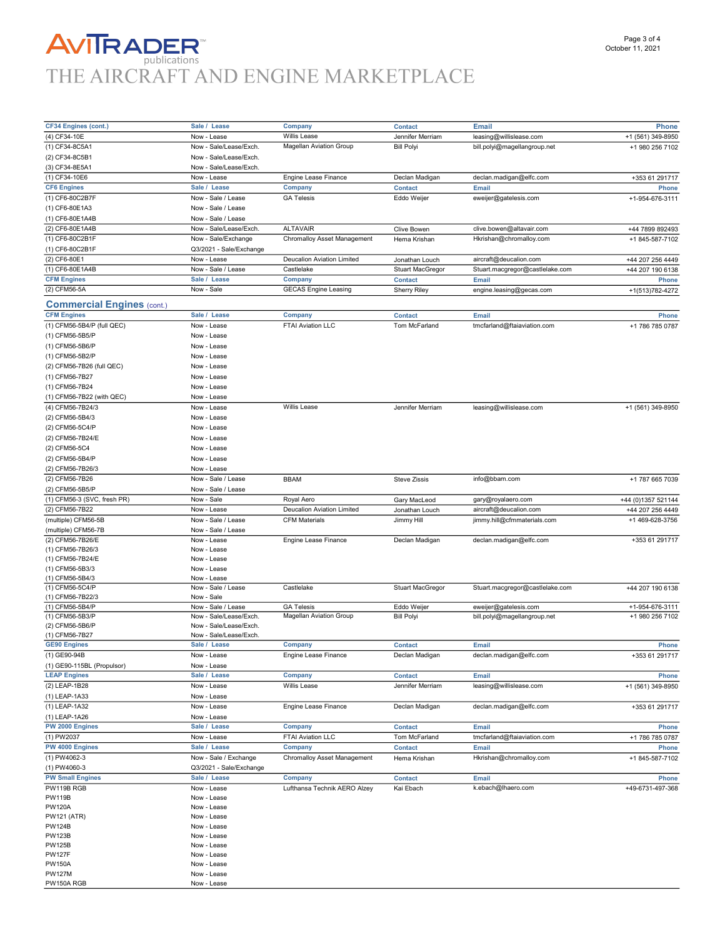## **AVITRADER**<br>THE AIRCRAFT AND ENGINE MARKETPLACE

PW150A RGB Now - Lease

| CF34 Engines (cont.)              | Sale / Lease            | Company                           | <b>Contact</b>          | Email                           | <b>Phone</b>       |
|-----------------------------------|-------------------------|-----------------------------------|-------------------------|---------------------------------|--------------------|
| (4) CF34-10E                      | Now - Lease             | Willis Lease                      | Jennifer Merriam        | leasing@willislease.com         | +1 (561) 349-8950  |
| (1) CF34-8C5A1                    | Now - Sale/Lease/Exch.  | <b>Magellan Aviation Group</b>    | <b>Bill Polyi</b>       | bill.polyi@magellangroup.net    | +1 980 256 7102    |
| (2) CF34-8C5B1                    | Now - Sale/Lease/Exch.  |                                   |                         |                                 |                    |
| (3) CF34-8E5A1                    | Now - Sale/Lease/Exch.  |                                   |                         |                                 |                    |
| (1) CF34-10E6                     | Now - Lease             | Engine Lease Finance              | Declan Madigan          | declan.madigan@elfc.com         | +353 61 291717     |
| <b>CF6 Engines</b>                | Sale / Lease            | Company                           | <b>Contact</b>          | <b>Email</b>                    | Phone              |
| (1) CF6-80C2B7F                   | Now - Sale / Lease      | <b>GA Telesis</b>                 | Eddo Weijer             | eweijer@gatelesis.com           | +1-954-676-3111    |
|                                   | Now - Sale / Lease      |                                   |                         |                                 |                    |
| (1) CF6-80E1A3                    |                         |                                   |                         |                                 |                    |
| (1) CF6-80E1A4B                   | Now - Sale / Lease      |                                   |                         |                                 |                    |
| (2) CF6-80E1A4B                   | Now - Sale/Lease/Exch.  | <b>ALTAVAIR</b>                   | <b>Clive Bowen</b>      | clive.bowen@altavair.com        | +44 7899 892493    |
| (1) CF6-80C2B1F                   | Now - Sale/Exchange     | Chromalloy Asset Management       | Hema Krishan            | Hkrishan@chromalloy.com         | +1 845-587-7102    |
| (1) CF6-80C2B1F                   | Q3/2021 - Sale/Exchange |                                   |                         |                                 |                    |
| (2) CF6-80E1                      | Now - Lease             | <b>Deucalion Aviation Limited</b> | Jonathan Louch          | aircraft@deucalion.com          | +44 207 256 4449   |
| (1) CF6-80E1A4B                   | Now - Sale / Lease      | Castlelake                        | Stuart MacGregor        | Stuart.macgregor@castlelake.com | +44 207 190 6138   |
| <b>CFM Engines</b>                | Sale / Lease            | Company                           | <b>Contact</b>          | <b>Email</b>                    | <b>Phone</b>       |
| (2) CFM56-5A                      | Now - Sale              | <b>GECAS Engine Leasing</b>       | <b>Sherry Riley</b>     | engine.leasing@gecas.com        | +1(513)782-4272    |
| <b>Commercial Engines (cont.)</b> |                         |                                   |                         |                                 |                    |
| <b>CFM Engines</b>                | Sale / Lease            | Company                           |                         |                                 |                    |
|                                   |                         |                                   | <b>Contact</b>          | Email                           | <b>Phone</b>       |
| (1) CFM56-5B4/P (full QEC)        | Now - Lease             | FTAI Aviation LLC                 | Tom McFarland           | tmcfarland@ftaiaviation.com     | +1 786 785 0787    |
| (1) CFM56-5B5/P                   | Now - Lease             |                                   |                         |                                 |                    |
| (1) CFM56-5B6/P                   | Now - Lease             |                                   |                         |                                 |                    |
| (1) CFM56-5B2/P                   | Now - Lease             |                                   |                         |                                 |                    |
| (2) CFM56-7B26 (full QEC)         | Now - Lease             |                                   |                         |                                 |                    |
| (1) CFM56-7B27                    | Now - Lease             |                                   |                         |                                 |                    |
| (1) CFM56-7B24                    | Now - Lease             |                                   |                         |                                 |                    |
| (1) CFM56-7B22 (with QEC)         | Now - Lease             |                                   |                         |                                 |                    |
| (4) CFM56-7B24/3                  | Now - Lease             | Willis Lease                      | Jennifer Merriam        | leasing@willislease.com         | +1 (561) 349-8950  |
| (2) CFM56-5B4/3                   | Now - Lease             |                                   |                         |                                 |                    |
| (2) CFM56-5C4/P                   | Now - Lease             |                                   |                         |                                 |                    |
| (2) CFM56-7B24/E                  | Now - Lease             |                                   |                         |                                 |                    |
| (2) CFM56-5C4                     | Now - Lease             |                                   |                         |                                 |                    |
| (2) CFM56-5B4/P                   | Now - Lease             |                                   |                         |                                 |                    |
|                                   |                         |                                   |                         |                                 |                    |
| (2) CFM56-7B26/3                  | Now - Lease             |                                   |                         |                                 |                    |
| (2) CFM56-7B26                    | Now - Sale / Lease      | <b>BBAM</b>                       | <b>Steve Zissis</b>     | info@bbam.com                   | +1 787 665 7039    |
| (2) CFM56-5B5/P                   | Now - Sale / Lease      |                                   |                         |                                 |                    |
| (1) CFM56-3 (SVC, fresh PR)       | Now - Sale              | Royal Aero                        | Gary MacLeod            | gary@royalaero.com              | +44 (0)1357 521144 |
| (2) CFM56-7B22                    | Now - Lease             | <b>Deucalion Aviation Limited</b> | Jonathan Louch          | aircraft@deucalion.com          | +44 207 256 4449   |
| (multiple) CFM56-5B               | Now - Sale / Lease      | <b>CFM Materials</b>              | Jimmy Hill              | jimmy.hill@cfmmaterials.com     | +1 469-628-3756    |
| (multiple) CFM56-7B               | Now - Sale / Lease      |                                   |                         |                                 |                    |
| (2) CFM56-7B26/E                  | Now - Lease             | Engine Lease Finance              | Declan Madigan          | declan.madigan@elfc.com         | +353 61 291717     |
| (1) CFM56-7B26/3                  | Now - Lease             |                                   |                         |                                 |                    |
| (1) CFM56-7B24/E                  | Now - Lease             |                                   |                         |                                 |                    |
| (1) CFM56-5B3/3                   | Now - Lease             |                                   |                         |                                 |                    |
| (1) CFM56-5B4/3                   | Now - Lease             |                                   |                         |                                 |                    |
| (1) CFM56-5C4/P                   | Now - Sale / Lease      | Castlelake                        | <b>Stuart MacGregor</b> | Stuart.macgregor@castlelake.com | +44 207 190 6138   |
| (1) CFM56-7B22/3                  | Now - Sale              |                                   |                         |                                 |                    |
| (1) CFM56-5B4/P                   | Now - Sale / Lease      | <b>GA Telesis</b>                 | Eddo Weijer             | eweijer@gatelesis.com           | +1-954-676-3111    |
| (1) CFM56-5B3/P                   | Now - Sale/Lease/Exch.  | <b>Magellan Aviation Group</b>    | <b>Bill Polyi</b>       | bill.polyi@magellangroup.net    | +1 980 256 7102    |
| (2) CFM56-5B6/P                   | Now - Sale/Lease/Exch.  |                                   |                         |                                 |                    |
| (1) CFM56-7B27                    | Now - Sale/Lease/Exch.  |                                   |                         |                                 |                    |
| <b>GE90 Engines</b>               | Sale / Lease            | Company                           | <b>Contact</b>          | <b>Email</b>                    | Phone              |
| (1) GE90-94B                      | Now - Lease             | Engine Lease Finance              | Declan Madigan          | declan.madigan@elfc.com         | +353 61 291717     |
| (1) GE90-115BL (Propulsor)        | Now - Lease             |                                   |                         |                                 |                    |
| <b>LEAP Engines</b>               | Sale / Lease            | Company                           | <b>Contact</b>          | Email                           | Phone              |
| (2) LEAP-1B28                     | Now - Lease             | Willis Lease                      | Jennifer Merriam        | leasing@willislease.com         | +1 (561) 349-8950  |
| (1) LEAP-1A33                     | Now - Lease             |                                   |                         |                                 |                    |
| (1) LEAP-1A32                     |                         | <b>Engine Lease Finance</b>       |                         |                                 | +353 61 291717     |
|                                   | Now - Lease             |                                   | Declan Madigan          | declan.madigan@elfc.com         |                    |
| (1) LEAP-1A26                     | Now - Lease             |                                   |                         |                                 |                    |
| PW 2000 Engines                   | Sale / Lease            | Company                           | <b>Contact</b>          | <b>Email</b>                    | Phone              |
| (1) PW2037                        | Now - Lease             | FTAI Aviation LLC                 | Tom McFarland           | tmcfarland@ftaiaviation.com     | +1 786 785 0787    |
| PW 4000 Engines                   | Sale / Lease            | Company                           | <b>Contact</b>          | Email                           | <b>Phone</b>       |
| (1) PW4062-3                      | Now - Sale / Exchange   | Chromalloy Asset Management       | Hema Krishan            | Hkrishan@chromalloy.com         | +1 845-587-7102    |
| (1) PW4060-3                      | Q3/2021 - Sale/Exchange |                                   |                         |                                 |                    |
| <b>PW Small Engines</b>           | Sale / Lease            | Company                           | <b>Contact</b>          | Email                           | <b>Phone</b>       |
| PW119B RGB                        | Now - Lease             | Lufthansa Technik AERO Alzey      | Kai Ebach               | k.ebach@lhaero.com              | +49-6731-497-368   |
| <b>PW119B</b>                     | Now - Lease             |                                   |                         |                                 |                    |
| PW120A                            | Now - Lease             |                                   |                         |                                 |                    |
| PW121 (ATR)                       | Now - Lease             |                                   |                         |                                 |                    |
| PW124B                            | Now - Lease             |                                   |                         |                                 |                    |
| PW123B                            | Now - Lease             |                                   |                         |                                 |                    |
| PW125B                            | Now - Lease             |                                   |                         |                                 |                    |
| PW127F                            | Now - Lease             |                                   |                         |                                 |                    |
| PW150A                            | Now - Lease             |                                   |                         |                                 |                    |
| PW127M                            | Now - Lease             |                                   |                         |                                 |                    |